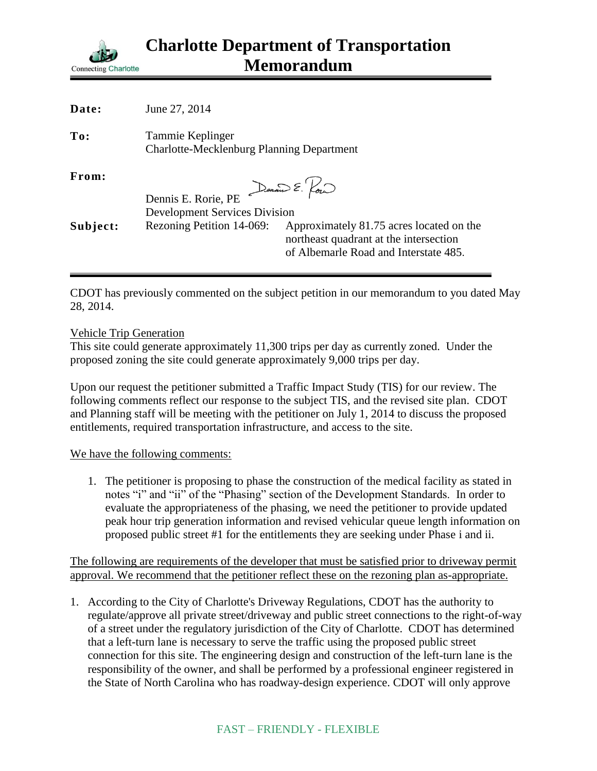

| Date:    | June 27, 2014                                                        |                                                                                                                             |
|----------|----------------------------------------------------------------------|-----------------------------------------------------------------------------------------------------------------------------|
| To:      | Tammie Keplinger<br><b>Charlotte-Mecklenburg Planning Department</b> |                                                                                                                             |
| From:    |                                                                      | $E$ Dennis $\sum$ $\sim$                                                                                                    |
|          | Dennis E. Rorie, PE                                                  |                                                                                                                             |
|          | <b>Development Services Division</b>                                 |                                                                                                                             |
| Subject: | Rezoning Petition 14-069:                                            | Approximately 81.75 acres located on the<br>northeast quadrant at the intersection<br>of Albemarle Road and Interstate 485. |
|          |                                                                      |                                                                                                                             |

CDOT has previously commented on the subject petition in our memorandum to you dated May 28, 2014.

## Vehicle Trip Generation

This site could generate approximately 11,300 trips per day as currently zoned. Under the proposed zoning the site could generate approximately 9,000 trips per day.

Upon our request the petitioner submitted a Traffic Impact Study (TIS) for our review. The following comments reflect our response to the subject TIS, and the revised site plan. CDOT and Planning staff will be meeting with the petitioner on July 1, 2014 to discuss the proposed entitlements, required transportation infrastructure, and access to the site.

## We have the following comments:

1. The petitioner is proposing to phase the construction of the medical facility as stated in notes "i" and "ii" of the "Phasing" section of the Development Standards. In order to evaluate the appropriateness of the phasing, we need the petitioner to provide updated peak hour trip generation information and revised vehicular queue length information on proposed public street #1 for the entitlements they are seeking under Phase i and ii.

The following are requirements of the developer that must be satisfied prior to driveway permit approval. We recommend that the petitioner reflect these on the rezoning plan as-appropriate.

1. According to the City of Charlotte's Driveway Regulations, CDOT has the authority to regulate/approve all private street/driveway and public street connections to the right-of-way of a street under the regulatory jurisdiction of the City of Charlotte. CDOT has determined that a left-turn lane is necessary to serve the traffic using the proposed public street connection for this site. The engineering design and construction of the left-turn lane is the responsibility of the owner, and shall be performed by a professional engineer registered in the State of North Carolina who has roadway-design experience. CDOT will only approve